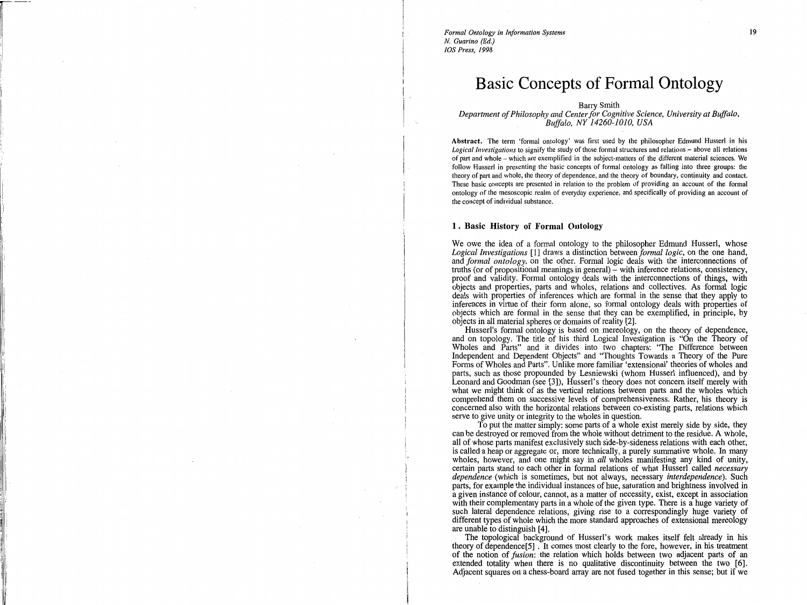*Formal Ontology in Information Systems N. Guarino (Ed.) !OS Press, 1998* 

 $r = \frac{1}{2}$ 

----

# **Basic Concepts of Formal Ontology**

Barry Smith

*Department of Philosophy and Center for Cognitive Science, University at Buffalo, Buffalo, NY 14260-1010, USA* 

Abstract. The term 'formal ontology' was first used by the philosopher Edmund Husserl in his Logical Investigations to signify the study of those formal structures and relations – above all relations of part and whole - which are exemplified in the subject-matters of the different material sciences. We follow Husserl in presenting the basic concepts of formal ontology as falling into three groups: the theory of part and whole, the theory of dependence, and the theory of boundary, continuity and contact. These basic concepts are presented in relation to the problem of providing an account of the formal ontology of the mesoscopic realm of everyday experience, and specifically of providing an account of the concept of individual substance.

### **1 . Basic History of Formal Ontology**

We owe the idea of a formal ontology to the philosopher Edmund Husserl, whose *Logical Investigations* [1] draws a distinction between *formal logic,* on the one hand, and *formal ontology,* on the other. Formal logic deals with the interconnections of truths (or of propositional meanings in general) – with inference relations, consistency, proof and validity. Formal ontology deals with the interconnections of things, with objects and properties, parts and wholes, relations and collectives. As formal logic deals with properties of inferences which are formal in the sense that they apply to inferences in virtue of their form alone, so formal ontology deals with properties of objects which are formal in the sense that they can be exemplified, in principle, by objects in all material spheres or domains of reality [2]. ·

Husserl's formal ontology is based on mereology, on the theory of dependence, and on topology. The title of his third Logical Investigation is "On the Theory of Wholes and Parts" and it divides into two chapters: "The Difference between Independent and Dependent Objects" and "Thoughts Towards a Theory of the Pure Forms of Wholes and Parts". Unlike more familiar 'extensional' theories of wholes and parts, such as those propounded by Lesniewski (whom Husserl influenced), and by Leonard and Goodman (see [3]), Husserl's theory does not concern itself merely with what we might think of as the vertical relations between parts and the wholes which comprehend them on successive levels of comprehensiveness. Rather, his theory is concerned also with the horizontal relations between co-existing parts, relations which serve to give unity or integrity to the wholes in question.

To put the matter simply: some parts of a whole exist merely side by side, they can be destroyed or removed from the whole without detriment to the residue. A whole, all of whose parts manifest exclusively such side-by-sideness relations with each other, is called a heap or aggregate or, more technically, a purely summative whole. In many wholes, however, and one might say in *all* wholes manifesting any kind of unity, certain parts stand to each other in formal relations of what Husserl called *necessary dependence* (which is sometimes, but not always, necessary *interdependence).* Such parts, for example the individual instances of hue, saturation and brightness involved in a given instance of colour, cannot, as a matter of necessity, exist, except in association with their complementary parts in a whole of the given type. There is a huge variety of such lateral dependence relations, giving rise to a correspondingly huge variety of different types of whole which the more standard approaches of extensional mereology are unable to distinguish [ 4].

The topological background of Husserl's work makes itself felt already in his theory of dependence[5] . It comes most clearly to the fore, however, in his treatment of the notion of *fusion:* the relation which holds between two adjacent parts of an extended totality when there is no qualitative discontinuity between the two [6]. Adjacent squares on a chess-board array are not fused together in this sense; but if we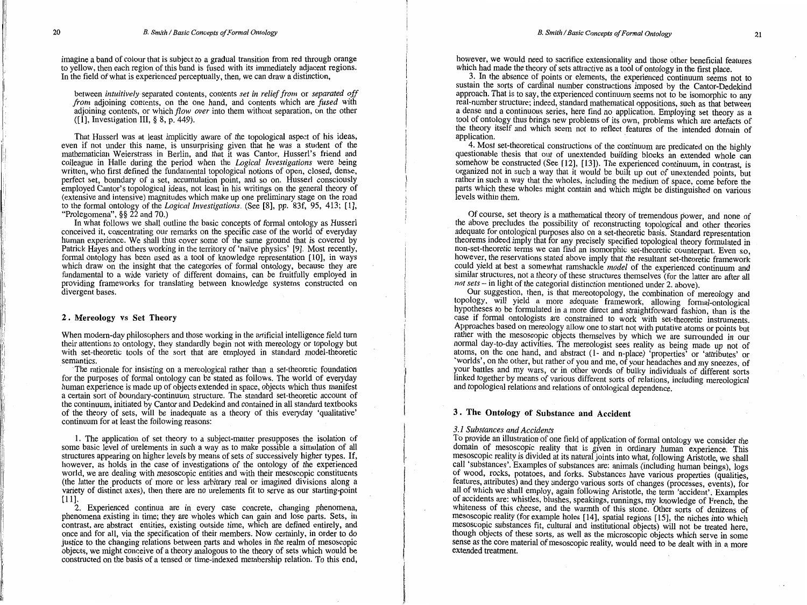imagine a band of colour that is subject to a gradual transition from red through orange to yellow, then each region of this band is fused with its immediately adjacent regions. In the field of what is experienced perceptually, then, we can draw a distinction,

between *intuitively* separated contents, contents *set in relief from* or *separated off from* adjoining contents, on the one hand, and contents which are *fused* with adjoining contents, or which *flow over* into them without separation, on the other  $(1)$ , Investigation III, § 8, p. 449).

That Husserl was at least implicitly aware of the topological aspect of his ideas, even if not under this name, is unsurprising given that he was a student of the mathematician Weierstrass in Berlin, and that it was Cantor, Husserl's friend and colleague in Halle during the period when the *Logical Investigations* were being written, who first defined the fundamental topological notions of open, closed, dense, perfect set, boundary of a set, accumulation point, and so on. Husserl consciously employed Cantor's topological ideas, not least in his writings on the general theory of (extensive and intensive) magnitudes which make up one preliminary stage on the road to the formal ontology of the *Logical Investigations.* (See [8], pp. 83f, 95, 413; [l], "Prolegomena",§§ 22 and 70.)

In what follows we shall outline the basic concepts of formal ontology as Husserl conceived it, concentrating our remarks on the specific case of the world of everyday human experience. We shall thus cover some of the same ground that is covered by Patrick Hayes and others working in the territory of 'naïve physics' [9]. Most recently, formal ontology has been used as a tool of knowledge representation [10], in ways which draw on the insight that the categories of formal ontology, because they are fundamental to a wide variety of different domains, can be fruitfully employed in providing frameworks for translating between knowledge systems constructed on divergent bases.

#### 2 . Mereology vs Set Theory

When modern-day philosophers and those working in the artificial intelligence field turn their attentions to ontology, they standardly begin not with mereology or topology but with set-theoretic tools of the sort that are employed in standard model-theoretic semantics.

The rationale for insisting on a mereological rather than a set-theoretic foundation for the purposes of formal ontology can be stated as follows. The world of everyday human experience is made up of objects extended in space, objects which thus manifest a certain sort of boundary-continuum structure. The standard set-theoretic account of the continuum, initiated by Cantor and Dedekind and contained in all standard textbooks of the theory of sets, will be inadequate as a theory of this everyday 'qualitative' continuum for at least the following reasons:

1. The application of set theory to a subject-matter presupposes the isolation of some basic level of urelements in such a way as to make possible a simulation of all structures appearing on higher levels by means of sets of successively higher types. If, however, as holds in the case of investigations of the ontology of the experienced world, we are dealing with mesoscopic entities and with their mesoscopic constituents (the latter the products of more or less arbitrary real or imagined divisions along a variety of distinct axes), then there are no urelements fit to serve as our starting-point  $[11]$ .

2. Experienced continua are in every case concrete, changing phenomena, phenomena existing in time; they are wholes which can gain and lose parts. Sets, in contrast, are abstract entities, existing outside time, which are defined entirely, and once and for all, via the specification of their members. Now certainly, in order to do justice to the changing relations between parts and wholes in the realm of mesoscopic objects, we might conceive of a theory analogous to the theory of sets which would be constmcted on the basis of a tensed or time-indexed membership relation. To this end,

however, we would need to sacrifice extensionality and those other beneficial features which had made the theory of sets attractive as a tool of ontology in the first place.

3. In the absence of points or elements, the experienced continuum seems not to sustain the sorts of cardinal number constructions imposed by the Cantor-Dedekind approach. That is to say, the experienced continuum seems not to be isomorphic to any real-number structure; indeed, standard mathematical oppositions, such as that between a dense and a continuous series, here find no application. Employing set theory as a tool of ontology thus brings new problems of its own, problems which are artefacts of the theory itself and which seem not to reflect features of the intended domain of application.

4. Most set-theoretical constructions of the continuum are predicated on the highly questionable thesis that out of unextended building blocks an extended whole can somehow be constructed (See [12], [13]). The experienced continuum, in contrast, is organized not in such a way that it would be built up out of unextended points, but rather in such a way that the wholes, including the medium of space, come before the parts which these wholes might contain and which might be distinguished on various levels within them.

Of course, set theory is a mathematical theory of tremendous power, and none of the above precludes the possibility of reconstructing topological and other theories adequate for ontological purposes also on a set-theoretic basis. Standard representation theorems indeed imply that for any precisely specified topological theory formulated in non-set-theoretic terms we can find an isomorphic set-theoretic counterpart. Even so, however, the reservations stated above imply that the resultant set-theoretic framework could yield at best a somewhat ramshackle *model* of the experienced continuum and similar structures, not a theory of these structures themselves (for the latter are after all *not sets* - in light of the categorial distinction mentioned under 2. above).

Our suggestion, then, is that mereotopology, the combination of mereology and topology, will yield a more adequate framework, allowing formal-ontological hypotheses to be formulated in a more direct and straightforward fashion, than is the case if formal ontologists are constrained to work with set-theoretic instruments. Approaches based on mereology allow one to start not with putative atoms or points but rather with the mesoscopic objects themselves by which we are surrounded in our normal day-to-day activities. The mereologist sees reality as being made up not of atoms, on the one hand, and abstract (1- and n-place) 'properties' or 'attributes' or 'worlds', on the other, but rather of you and me, of your headaches and my sneezes, of your battles and my wars, or in other words of bulky individuals of different sorts linked together by means of various different sorts of relations, including mereological and topological relations and relations of ontological dependence.

# 3 . The Ontology of Substance and Accident

#### *3.1 Substances and Accidents*

I

I

I I ! i  $\mathbf{I}$ 

To provide an illustration of one field of application of formal ontology we consider the domam of mesoscopic reality that is given in ordinary human experience. This mesoscopic reality is divided at its natural joints into what, following Aristotle, we shall call 'substances'. Examples of substances are: animals (including human beings), logs of wood, rocks, potatoes, and forks. Substances have various properties (qualities, features, attributes) and they undergo various sorts of changes (processes, events), for all of which we shall employ, again following Aristotle, the term 'accident'. Examples of accidents are: whistles, blushes, speakings, runnings, my knowledge of French, the whiteness of this cheese, and the warmth of this stone. Other sorts of denizens of mesoscopic reality (for example holes [14], spatial regions [15], the niches into which mesoscopic substances fit, cultural and institutional objects) will not be treated here, though objects of these sorts, as well as the microscopic objects which serve in some sense as the core material of mesoscopic reality, would need to be dealt with in a more extended treatment.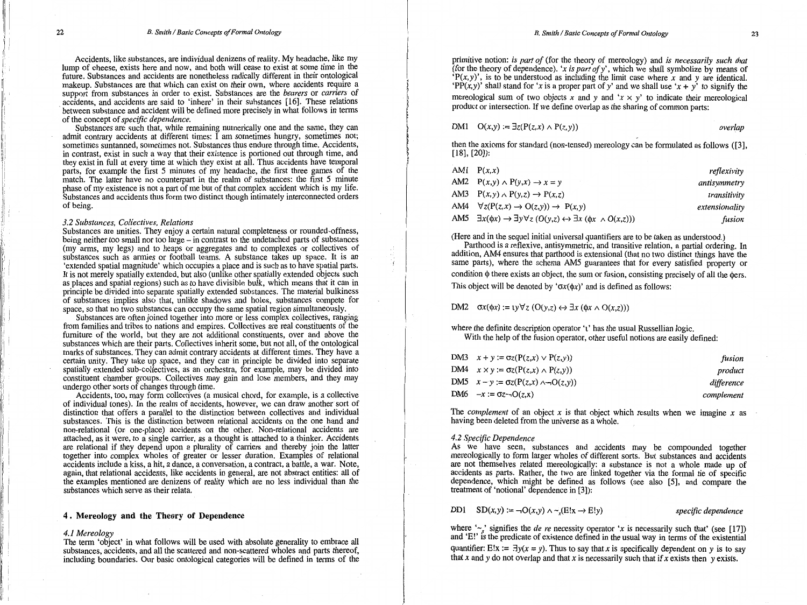Accidents, like substances, are individual denizens of reality. My headache, like my lump of cheese, exists here and now, and both will cease to exist at some time in the future. Substances and accidents are nonetheless radically different in their ontological makeup. Substances are that which can exist on their own, where accidents require a support from substances in order to exist. Substances are the *bearers* or *carriers* of accidents, and accidents are said to 'inhere' in their substances [16). These relations between substance and accident will be defined more precisely in what follows in terms of the concept of *specific dependence.* 

Substances are such that, while remaining numerically one and the same, they can admit contrary accidents at different times:  $\overline{I}$  am sometimes hungry, sometimes not; sometimes suntanned, sometimes not. Substances thus endure through time. Accidents, in contrast, exist in such a way that their existence is portioned out through time, and they exist in full at every time at which they exist at all. Thus accidents have temporal parts, for example the first 5 minutes of my headache, the first three games of the match. The latter have no counterpart in the realm of substances: the first 5 minute phase of my existence is not a part of me but of that complex accident which is my life. Substances and accidents thus form two distinct though intimately interconnected orders of being.

#### *3.2 Substances, Collectives, Relations*

Substances are unities. They enjoy a certain natural completeness or rounded-offness, being neither too small nor too large – in contrast to the undetached parts of substances (my arms, my legs) and to heaps or aggregates and to complexes or collectives of substances such as armies or football teams. A substance takes up space. It is an 'extended spatial magnitude' which occupies a place and is such as to have spatial parts. It is not merely spatially extended, but also (unlike other spatially extended objects such as places and spatial regions) such as to have divisible bulk, which means that it can in principle be divided into separate spatially extended substances. The material bulkiness of substances implies also that, unlike shadows and holes, substances compete for space, so that no two substances can occupy the same spatial region simultaneously.

Substances are often joined together into more or less complex collectives, ranging from families and tribes to nations and empires. Collectives are real constituents of the furniture of the world, but they are not additional constituents, over and above the substances which are their parts. Collectives inherit some, but not all, of the ontological marks of substances. They can admit contrary accidents at different times. They have a certain unity. They take up space, and they can in principle be divided into separate spatially extended sub-collectives, as an orchestra, for example, may be divided into constituent chamber groups. Collectives may gain and lose members, and they may undergo other sorts of changes through time.

Accidents, too, may form collectives (a musical chord, for example, is a collective of individual tones). In the realm of accidents, however, we can draw another sort of distinction that offers a parallel to the distinction between collectives and individual substances. This is the distinction between relational accidents on the one hand and non-relational (or one-place) accidents on the other. Non-relational accidents are attached, as it were, to a single carrier, as a thought is attached to a thinker. Accidents are. relational if they depend upon a plurality of carriers and thereby join the latter together into complex wholes of greater or lesser duration. Examples of relational accidents include a kiss, a hit, a dance, a conversation, a contract, a battle, a war. Note, again, that relational accidents, like accidents in general, are not abstract entities: all of the examples mentioned are denizens of reality which are no less individual than the substances which serve as their relata.

#### **4 . Mereology and the Theory of Dependence**

#### *4.1 Mereology*

The term 'object' in what follows will be used with absolute generality to embrace all substances, accidents, and all the scattered and non-scattered wholes and parts thereof, including boundaries. Our basic ontological categories will be defined in terms of the primitive notion: *is part of* (for the theory of mereology) and *is necessarily such that*  (for the theory of dependence). *'xis part ofy',* which we shall symbolize by means of *'P(x,y)',* is to be understood as including the limit case where *x* and *y* are identical. 'PP(x,y)' shall stand for 'x is a proper part of y' and we shall use 'x + y' to signify the mereological sum of two objects x and y and  $x \times y'$  to indicate their mereological

product or intersection. If we define overlap as the sharing of common parts:

$$
DM1 \t O(x,y) := \exists z (P(z,x) \land P(z,y)) \t overlap
$$

then the axioms for standard (non-tensed) mereology can be formulated as follows ([3], [ 18], [20]):

| AM1 $P(x,x)$                                                                                                     | reflexivity    |
|------------------------------------------------------------------------------------------------------------------|----------------|
| AM2 $P(x,y) \wedge P(y,x) \rightarrow x = y$                                                                     | antisymmetry   |
| AM3 $P(x,y) \wedge P(y,z) \rightarrow P(x,z)$                                                                    | transitivity   |
| AM4 $\forall z (P(z,x) \rightarrow O(z,y)) \rightarrow P(x,y)$                                                   | extensionality |
| AM5 $\exists x(\phi x) \rightarrow \exists y \forall z (O(y,z) \leftrightarrow \exists x (\phi x \land O(x,z)))$ | fusion         |

(Here and in the sequel initial universal quantifiers are to be taken as understood.)

Parthood is a reflexive, antisymmetric, and transitive relation, a partial ordering. In addition, AM4 ensures that parthood is extensional (that no two distinct things have the same parts), where the schema AMS guarantees that for every satisfied property or condition  $\phi$  there exists an object, the sum or fusion, consisting precisely of all the ders. This object will be denoted by ' $\sigma x(\phi x)$ ' and is defined as follows:

DM2  $\sigma x(\phi x) := y \forall z (O(y,z) \leftrightarrow \exists x (\phi x \land O(x,z)))$ 

where the definite description operator 't' has the usual Russellian logic. With the help of the fusion operator, other useful notions are easily defined:

| DM3 $x + y := \sigma z(P(z, x) \vee P(z, y))$       | fusion     |
|-----------------------------------------------------|------------|
| DM4 $x \times y := \sigma z(P(z,x) \wedge P(z,y))$  | product    |
| DM5 $x - y := \sigma z(P(z, x) \land \neg O(z, y))$ | difference |
| DM6 $-x := \sigma z \neg O(z,x)$                    | complement |

The *complement* of an object *x* is that object which results when we imagine *x* as having been deleted from the universe as a whole.

## *4.2 Specific Dependence*

As we have seen, substances and accidents may be compounded together mereologically to form larger wholes of different sorts. But substances and accidents are not themselves related mereologically: a substance is not a whole made up of accidents as parts. Rather, the two are linked together via the formal tie of specific dependence, which might be defined as follows (see also [5], and compare the treatment of 'notional' dependence in [3]):

DD1  $SD(x, y) := \neg O(x, y) \land \neg (E!x \rightarrow E!y)$  *specific dependence* 

where  $\sim$ , signifies the *de re* necessity operator  $x$  is necessarily such that' (see [17]) and 'E!' is the predicate of existence defined in the usual way in terms of the existential quantifier: E!x :=  $\exists y(x = y)$ . Thus to say that x is specifically dependent on *y* is to say that *x* and *y* do not overlap and that xis necessarily such that if *x* exists then *y* exists.

l h I

I I I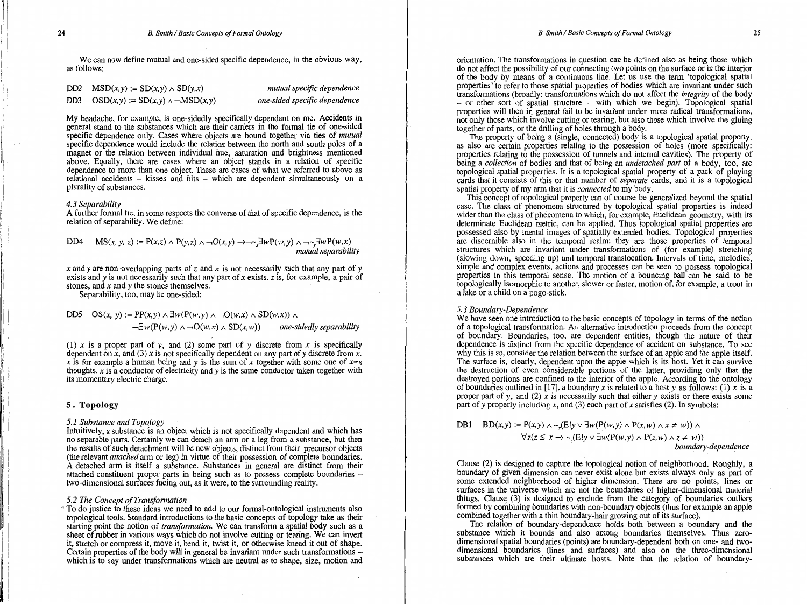We can now define mutual and one-sided specific dependence, in the obvious way, as follows:

| DD2 $MSD(x, y) := SD(x, y) \wedge SD(y, x)$    |
|------------------------------------------------|
| DD3 $OSD(x,y) := SD(x,y) \wedge \neg MSD(x,y)$ |

*mutual specific dependence one-sided specific dependence* 

My headache, for example, is one-sidedly specifically dependent on me. Accidents in general stand to the substances which are their carriers in the formal tie of one-sided specific dependence only. Cases where objects are bound together via ties of *mutual*  specific dependence would include the relation between the north and south poles of a magnet or the relation between individual hue, saturation and brightness mentioned above. Equally, there are cases where an object stands in a relation of specific dependence to more than one object. These are cases of what we referred to above as relational accidents - kisses and hits - which are dependent simultaneously on a plurality of substances.

#### *4.3 Separability*

A further formal tie, in some respects the converse of that of specific dependence, is the relation of separability. We define:

DD4 MS(x, y, z) := P(x,z) 
$$
\wedge
$$
 P(y,z)  $\wedge \neg O(x,y) \rightarrow \neg \sim_x \exists w P(w,y) \wedge \neg \sim_y \exists w P(w,x)$   
\nmutual separability

*x* and *y* are non-overlapping parts of *z* and *x* is not necessarily such that any part of *y*  exists and *y* is not necessarily such that any part of *x* exists. *z* is, for example, a pair of stones, and *x* and *y* the stones themselves.

Separability, too, may be one-sided:

$$
\text{DD5}\quad \text{OS}(x,\ y) := \text{PP}(x,y) \land \exists w(\text{P}(w,y) \land \neg \text{O}(w,x) \land \text{SD}(w,x)) \land
$$

 $\neg \exists w(P(w, y) \land \neg O(w, x) \land SD(x, w))$  one-sidedly separability

(1)  $x$  is a proper part of  $y$ , and (2) some part of  $y$  discrete from  $x$  is specifically dependent on *x,* and (3) *xis* not specifically dependent on any part of *y* discrete from *x. x* is for example a human being and *y* is the sum of *x* together with some one of *x=s*  thoughts. *x* is a conductor of electricity and *y* is the same conductor taken together with its momentary electric charge.

#### **5. Topology**

#### 5.1 Substance and **Topology**

Intuitively, a substance is an object which is not specifically dependent and which has no separable parts. Certainly we can detach an arm or a leg from a substance, but then the results of such detachment will be new objects, distinct from their precursor objects (the relevant *attached* arm or leg) in virtue of their possession of complete boundaries. A detached arm is itself a substance. Substances in general are distinct from their attached constituent proper parts in being such as to possess complete boundaries two-dimensional surfaces facing out, as it were, to the surrounding reality.

#### *5.2 The Concept of Transformation*

~To do justice to these ideas we need to add to our formal-ontological instruments also topological tools. Standard introductions to the basic concepts of topology take as their starting point the notion of *transformation.* We can transform a spatial body such as a sheet of rubber in various ways which do not involve cutting or tearing. We can invert it, stretch or compress it, move it, bend it, twist it, or otherwise knead it out of shape. Certain properties of the body will in general be invariant under such transformations which is to say under transformations which are neutral as to shape, size, motion and

orientation. The transformations in question can be defined also as being those which do not affect the possibility of our connecting two points on the surface or in the interior of the body by means of a continuous line. Let us use the term 'topological spatial properties' to refer to those spatial properties of bodies which are invariant under such transformations (broadly: transformations which do not affect the *integrity* of the body - or other sort of spatial structure - with which we begin). Topological spatial properties will then in general fail to be invariant under more radical transformations, not only those which involve cutting or tearing, but also those which involve the gluing together of parts, or the drilling of holes through a body.

The property of being a (single, connected) body is a topological spatial property, as also are certain properties relating to the possession of holes (more specifically: properties relating to the possession of tunnels and internal cavities). The property of being a *collection* of bodies and that of being an *undetached part* of a body, too, are topological spatial properties. It is a topological spatial property of a pack of playing cards that it consists of this or that number of *separate* cards, and it is a topological spatial property of my arm that it is *connected* to my body.

This concept of topological property can of course be generalized beyond the spatial case. The class of phenomena structured by topological spatial properties is indeed wider than the class of phenomena to which, for example, Euclidean geometry, with its determinate Euclidean metric, can be applied. Thus topological spatial properties are possessed also by mental images of spatially extended bodies. Topological properties are discernible also in the temporal realm: they are those properties of temporal structures which are invariant under transformations of (for example) stretching (slowing down, speeding up) and temporal translocation. Intervals of time, melodies', simple and complex events, actions and processes can be seen to possess topological properties in this temporal sense. The motion of a bouncing ball can be said to be topologically isomorphic to another, slower or faster, motion of, for example, a trout in a lake or a child on a pogo-stick.

#### *5.3 Boundary-Dependence*

We have seen one introduction to the basic concepts of topology in terms of the notion of a topological transformation. An alternative introduction proceeds from the concept of boundary. Boundaries, too, are dependent entities, though the nature of their dependence is distinct from the specific dependence of accident on substance. To see why this is so, consider the relation between the surface of an apple and the apple itself. The surface is, clearly, dependent upon the apple which is its host. Yet it can survive the destruction of even considerable portions of the latter, providing only that the destroyed portions are confined to the interior of the apple. According to the ontology of boundaries outlined in [17], a boundary *xis* related to a host *y* as follows: (1) *x* is a proper part of *y*, and (2)  $\dot{x}$  is necessarily such that either *y* exists or there exists some part of *y* properly including *x,* and (3) each part of *x* satisfies (2). In symbols:

**DB1**  $BD(x, y) := P(x, y) \land \sim (E!y \lor \exists w(P(w, y) \land P(x, w) \land x \neq w))$  $\forall z(z \leq x \rightarrow \sim(E!y \vee \exists w(P(w,y) \wedge P(z,w) \wedge z \neq w))$ *boundary-dependence* 

Clause (2) is designed to capture the topological notion of neighborhood. Roughly, a boundary of given dimension can never exist alone but exists always only as part of some extended neighborhood of higher dimension. There are no points, lines or surfaces in the universe which are not the boundaries of higher-dimensional material things. Clause. (3) is designed to exclude from the category of boundaries outliers formed by combining boundaries with non-boundary objects (thus for example an apple combined together with a thin boundary-hair growing out of its surface).

The relation of boundary-dependence holds both between a boundary and the substance which it bounds and also among boundaries themselves. Thus zerodimensional spatial boundaries (points) are boundary-dependent both on one- and twodimensional boundaries (lines and surfaces) and also on the three-dimensional substances which are their ultimate hosts. Note that the relation of boundary-

 $\label{eq:2} \begin{split} \frac{1}{\sqrt{1-\left(\frac{1}{\sqrt{1-\left(\frac{1}{\sqrt{1-\left(\frac{1}{\sqrt{1-\left(\frac{1}{\sqrt{1-\left(\frac{1}{\sqrt{1-\left(\frac{1}{\sqrt{1-\left(\frac{1}{\sqrt{1-\left(\frac{1}{\sqrt{1-\left(\frac{1}{\sqrt{1-\left(\frac{1}{\sqrt{1-\left(\frac{1}{\sqrt{1-\left(\frac{1}{\sqrt{1-\left(\frac{1}{\sqrt{1-\left(\frac{1}{\sqrt{1-\left(\frac{1}{\sqrt{1-\left(\frac{1}{\sqrt{1-\left(\frac{1}{\sqrt{1-\left(\frac{1}{\sqrt{1-\$ 

 $\mathbf{I}$ 

Ii!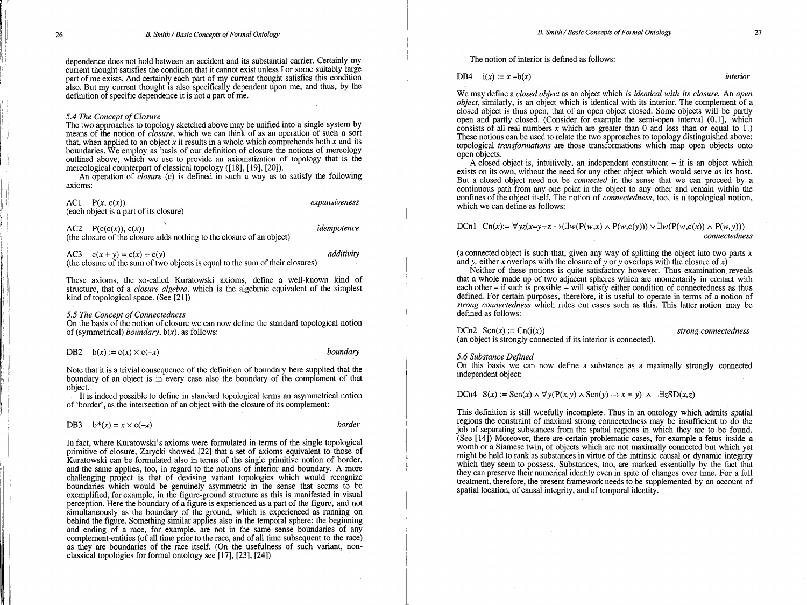dependence does not hold between an accident and its substantial carrier. Certainly my current thought satisfies the condition that it cannot exist unless I or some suitably large part of me exists. And certainly each part of my current thought satisfies this condition also. But my current thought is also specifically dependent upon me, and thus, by the definition of specific dependence it is not a part of me.

#### *5.4 The Concept of Closure*

The two approaches to topology sketched above may be unified into a single system by means of the notion of *closure,* which we can think of as an operation of such a sort that, when applied to an object *x* it results in a whole which comprehends both *x* and its boundaries. We employ as basis of our definition of closure the notions of mereology outlined above, which we use to provide an axiomatization of topology that is the mereological counterpart of classical topology ([18], [19], [20]).

. An operation of *closure* (c) is defined in such a way as to satisfy the following axioms:

ACl *P(x,* c(x)) *expansiveness*  (each object is a part of its closure)

AC2 P(c(c(x)), c(x)) *idempotence*  (the closure of the closure adds nothing to the closure of an object)

AC3  $c(x + y) = c(x) + c(y)$  *additivity* (the closure of the sum of two objects is equal to the sum of their closures)

These axioms, the so-called Kuratowski axioms, define a well-known kind of structure, that of a *closure algebra,* which is the algebraic equivalent of the simplest kind of topological space. (See [21])

*5.5 The Concept of Connectedness* ,

On the basis of the notion of closure we can now define the standard topological notion of (symmetrical) *boundary,* b(x), as follows:

DB2  $b(x) := c(x) \times c(-x)$  *boundary* 

Note that it is a trivial consequence of the definition of boundary here supplied that the boundary of an object is in every case also the boundary of the complement of that object.

It is indeed possible to define in standard topological terms an asymmetrical notion of 'border', as the intersection of an object with the closure of its complement:

### DB3  $b^*(x) = x \times c(-x)$  *border*

In fact, where Kuratowski's axioms were formulated in terms of the single topological primitive of closure, Zarycki showed [22] that a set of axioms equivalent to those of Kuratowski can be formulated also in terms of the single primitive notion of border, and the same applies, too, in regard to the notions of interior and boundary. A more challenging project is that of devising variant topologies which would recognize boundaries which would be genuinely asymmetric in the sense that seems to be exemplified, for example, in the figure-ground structure as this is manifested in visual perception. Here the boundary of a figure is experienced as a part of the figure, and not simultaneously as the boundary of the ground, which is experienced as running on behind the figure. Something similar applies also in the temporal sphere: the beginning and ending of a race, for example, are not in the same sense boundaries of any complement-entities (of all time prior to the race, and of all time subsequent to the race) as they are boundaries of the race itself. (On the usefulness of such variant, nonclassical topologies for formal ontology see [17], [23], [24])

The notion of interior is defined as follows:

DB4  $i(x) := x -b(x)$  *interior* 

We may define a *closed object* as an object which *is identical with its closure.* An *open object*, similarly, is an object which is identical with its interior. The complement of a closed object is thus open, that of an open object closed. Some objects will be partly open and partly closed. (Consider for example the semi-open interval  $(0, 1]$ , which consists of all real numbers  $x$  which are greater than 0 and less than or equal to 1.) These notions can be used to relate the two approaches to topology distinguished above: topological *transformations* are those transformations which map open objects onto open objects.

A closed object is, intuitively, an independent constituent  $-$  it is an object which exists on its own, without the need for any other object which would serve as its host. But a closed object need not be *connected* in the sense that we can proceed by a continuous path from any one point in the object to any other and remain within the confines of the object itself. The notion of *connectedness*, too, is a topological notion, which we can define as follows:

## DCn1 Cn(x):=  $\forall yz(x=y+z \rightarrow (\exists w(P(w,x) \land P(w,c(y))) \lor \exists w(P(w,c(x)) \land P(w,y)))$ *connectedness*

(a connected object is such that, given any way of splitting the object into two parts  $x$ and *y*, either *x* overlaps with the closure of *y* or *y* overlaps with the closure of *x*)

Neither of these notions is quite satisfactory however. Thus examination reveals that a whole made up of two adjacent spheres which are momentarily in contact with each other  $-$  if such is possible  $-$  will satisfy either condition of connectedness as thus defined. For certain purposes, therefore, it is useful to operate in terms of a notion of *strong connettedness* which rules out cases such as this. This latter notion may be defined as follows:

 $D\text{Cn2}$   $\text{Sen}(x) := \text{Cn}(i(x))$  *strong connectedness* (an object is strongly connected if its interior is connected).

*5.6 Substance Defined* 

On this basis we can now define a substance as a maximally strongly connected independent object:

# DCn4  $S(x) := \text{Sen}(x) \land \forall y(P(x, y) \land \text{Sen}(y) \rightarrow x = y) \land \neg \exists zSD(x, z)$

This definition is still woefully incomplete. Thus in an ontology which admits spatial regions the constraint of maximal strong connectedness may be insufficient to do the job of separating substances from the spatial regions in which they are to be found.<br>(See [14]) Moreover, there are certain problematic cases, for example a fetus inside a womb or a Siamese twin, of objects which are not maximally connected but which yet might be held to rank as substances in virtue of the intrinsic causal or dynamic integrity which they seem to possess. Substances, too, are marked essentially by the fact that they can preserve their numerical identity even in spite of changes over time. For a full treatment, therefore, the present framework needs to be supplemented by an account of spatial location, of causal integrity, and of temporal identity.

i<br>II ),